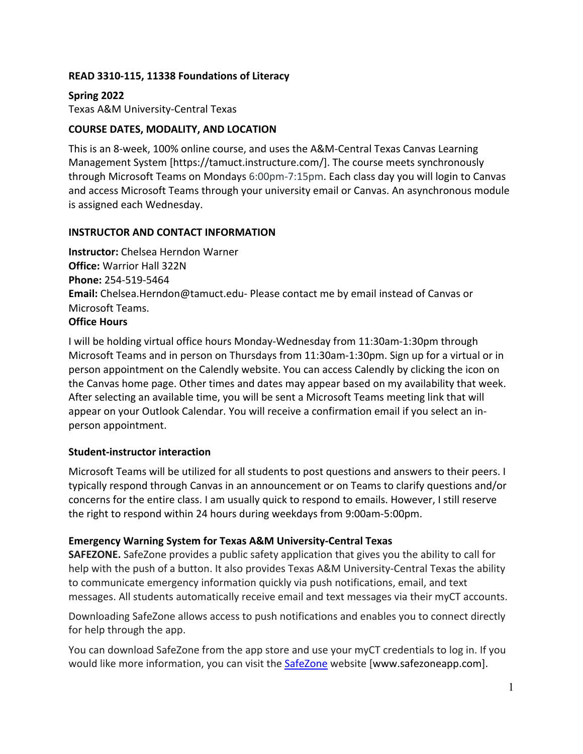## **READ 3310-115, 11338 Foundations of Literacy**

#### **Spring 2022** Texas A&M University-Central Texas

## **COURSE DATES, MODALITY, AND LOCATION**

This is an 8-week, 100% online course, and uses the A&M-Central Texas Canvas Learning Management System [https://tamuct.instructure.com/]. The course meets synchronously through Microsoft Teams on Mondays 6:00pm-7:15pm. Each class day you will login to Canvas and access Microsoft Teams through your university email or Canvas. An asynchronous module is assigned each Wednesday.

### **INSTRUCTOR AND CONTACT INFORMATION**

**Instructor:** Chelsea Herndon Warner **Office:** Warrior Hall 322N **Phone:** 254-519-5464 **Email:** Chelsea.Herndon@tamuct.edu- Please contact me by email instead of Canvas or Microsoft Teams. **Office Hours**

# I will be holding virtual office hours Monday-Wednesday from 11:30am-1:30pm through Microsoft Teams and in person on Thursdays from 11:30am-1:30pm. Sign up for a virtual or in person appointment on the [Calendly website.](https://calendly.com/chelsea-herndon/30min) You can access Calendly by clicking the icon on the Canvas home page. Other times and dates may appear based on my availability that week. After selecting an available time, you will be sent a Microsoft Teams meeting link that will appear on your Outlook Calendar. You will receive a confirmation email if you select an inperson appointment.

#### **Student-instructor interaction**

[Microsoft Teams](https://teams.microsoft.com/l/channel/19%3aQ-xqLM7QLkG5hSvoHJvEhesL-jEj0674M_jxvF_SUM01%40thread.tacv2/General?groupId=a93e42b9-c2cf-418f-b770-31fa82d025b5&tenantId=9eed4e30-00f7-4484-9ff1-93ad8005acec) will be utilized for all students to post questions and answers to their peers. I typically respond through Canvas in an announcement or on Teams to clarify questions and/or concerns for the entire class. I am usually quick to respond to emails. However, I still reserve the right to respond within 24 hours during weekdays from 9:00am-5:00pm.

#### **Emergency Warning System for Texas A&M University-Central Texas**

**SAFEZONE.** SafeZone provides a public safety application that gives you the ability to call for help with the push of a button. It also provides Texas A&M University-Central Texas the ability to communicate emergency information quickly via push notifications, email, and text messages. All students automatically receive email and text messages via their myCT accounts.

Downloading SafeZone allows access to push notifications and enables you to connect directly for help through the app.

You can download SafeZone from the app store and use your myCT credentials to log in. If you would like more information, you can visit the **SafeZone** website [www.safezoneapp.com].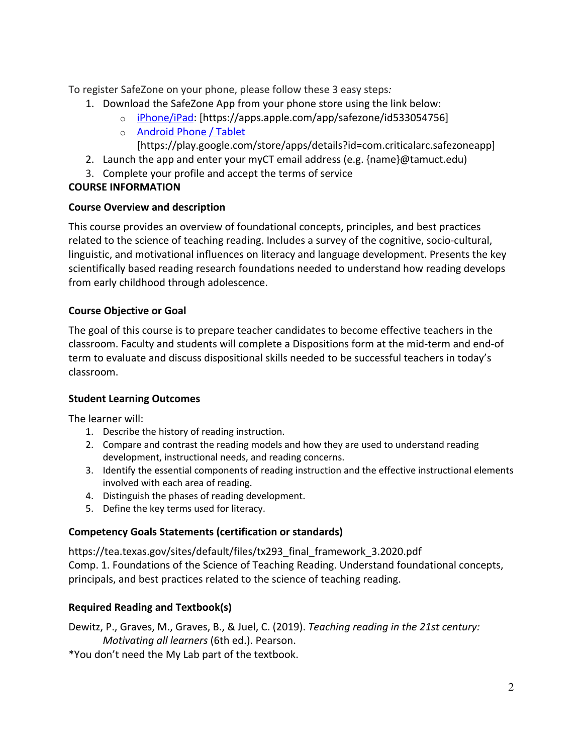To register SafeZone on your phone, please follow these 3 easy steps*:*

- 1. Download the SafeZone App from your phone store using the link below:
	- o iPhone/iPad: [https://apps.apple.com/app/safezone/id533054756]
		- o Android Phone / Tablet

[https://play.google.com/store/apps/details?id=com.criticalarc.safezoneapp]

- 2. Launch the app and enter your myCT email address (e.g. {name}@tamuct.edu)
- 3. Complete your profile and accept the terms of service

# **COURSE INFORMATION**

# **Course Overview and description**

This course provides an overview of foundational concepts, principles, and best practices related to the science of teaching reading. Includes a survey of the cognitive, socio-cultural, linguistic, and motivational influences on literacy and language development. Presents the key scientifically based reading research foundations needed to understand how reading develops from early childhood through adolescence.

# **Course Objective or Goal**

The goal of this course is to prepare teacher candidates to become effective teachers in the classroom. Faculty and students will complete a Dispositions form at the mid-term and end-of term to evaluate and discuss dispositional skills needed to be successful teachers in today's classroom.

# **Student Learning Outcomes**

The learner will:

- 1. Describe the history of reading instruction.
- 2. Compare and contrast the reading models and how they are used to understand reading development, instructional needs, and reading concerns.
- 3. Identify the essential components of reading instruction and the effective instructional elements involved with each area of reading.
- 4. Distinguish the phases of reading development.
- 5. Define the key terms used for literacy.

# **Competency Goals Statements (certification or standards)**

https://tea.texas.gov/sites/default/files/tx293\_final\_framework\_3.2020.pdf Comp. 1. Foundations of the Science of Teaching Reading. Understand foundational concepts, principals, and best practices related to the science of teaching reading.

# **Required Reading and Textbook(s)**

Dewitz, P., Graves, M., Graves, B., & Juel, C. (2019). *Teaching reading in the 21st century: Motivating all learners* (6th ed.). Pearson.

\*You don't need the My Lab part of the textbook.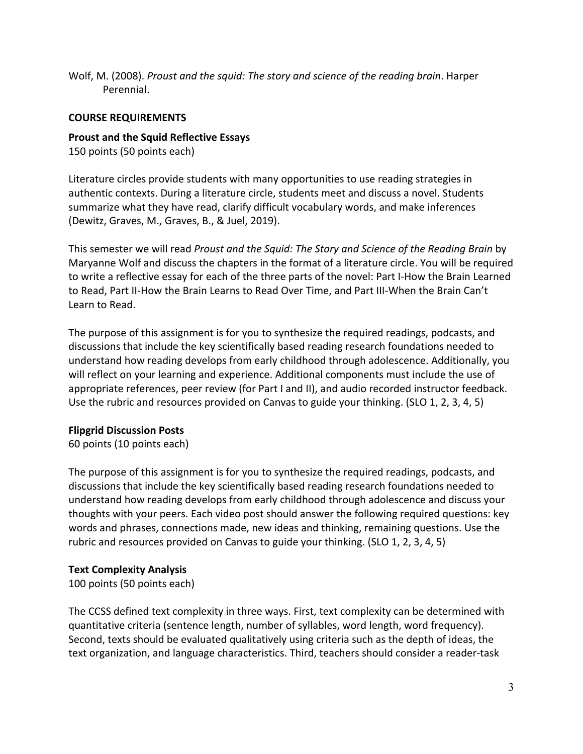Wolf, M. (2008). *Proust and the squid: The story and science of the reading brain*. Harper Perennial.

### **COURSE REQUIREMENTS**

## **Proust and the Squid Reflective Essays**

150 points (50 points each)

Literature circles provide students with many opportunities to use reading strategies in authentic contexts. During a literature circle, students meet and discuss a novel. Students summarize what they have read, clarify difficult vocabulary words, and make inferences (Dewitz, Graves, M., Graves, B., & Juel, 2019).

This semester we will read *Proust and the Squid: The Story and Science of the Reading Brain* by Maryanne Wolf and discuss the chapters in the format of a literature circle. You will be required to write a reflective essay for each of the three parts of the novel: Part I-How the Brain Learned to Read, Part II-How the Brain Learns to Read Over Time, and Part III-When the Brain Can't Learn to Read.

The purpose of this assignment is for you to synthesize the required readings, podcasts, and discussions that include the key scientifically based reading research foundations needed to understand how reading develops from early childhood through adolescence. Additionally, you will reflect on your learning and experience. Additional components must include the use of appropriate references, peer review (for Part I and II), and audio recorded instructor feedback. Use the rubric and resources provided on Canvas to guide your thinking. (SLO 1, 2, 3, 4, 5)

#### **[Flipgrid Discussion Posts](https://info.flipgrid.com/)**

60 points (10 points each)

The purpose of this assignment is for you to synthesize the required readings, podcasts, and discussions that include the key scientifically based reading research foundations needed to understand how reading develops from early childhood through adolescence and discuss your thoughts with your peers. Each video post should answer the following required questions: key words and phrases, connections made, new ideas and thinking, remaining questions. Use the rubric and resources provided on Canvas to guide your thinking. (SLO 1, 2, 3, 4, 5)

## **Text Complexity Analysis**

100 points (50 points each)

The CCSS defined text complexity in three ways. First, text complexity can be determined with quantitative criteria (sentence length, number of syllables, word length, word frequency). Second, texts should be evaluated qualitatively using criteria such as the depth of ideas, the text organization, and language characteristics. Third, teachers should consider a reader-task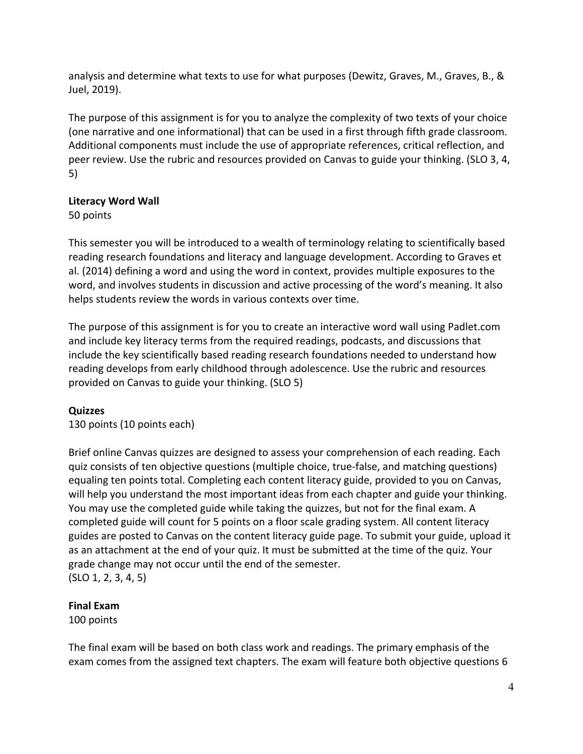analysis and determine what texts to use for what purposes (Dewitz, Graves, M., Graves, B., & Juel, 2019).

The purpose of this assignment is for you to analyze the complexity of two texts of your choice (one narrative and one informational) that can be used in a first through fifth grade classroom. Additional components must include the use of appropriate references, critical reflection, and peer review. Use the rubric and resources provided on Canvas to guide your thinking. (SLO 3, 4, 5)

# **Literacy Word Wall**

50 points

This semester you will be introduced to a wealth of terminology relating to scientifically based reading research foundations and literacy and language development. According to Graves et al. (2014) defining a word and using the word in context, provides multiple exposures to the word, and involves students in discussion and active processing of the word's meaning. It also helps students review the words in various contexts over time.

The purpose of this assignment is for you to create an interactive word wall using [Padlet.com](https://padlet.com/)  and include key literacy terms from the required readings, podcasts, and discussions that include the key scientifically based reading research foundations needed to understand how reading develops from early childhood through adolescence. Use the rubric and resources provided on Canvas to guide your thinking. (SLO 5)

# **Quizzes**

130 points (10 points each)

Brief online Canvas quizzes are designed to assess your comprehension of each reading. Each quiz consists of ten objective questions (multiple choice, true-false, and matching questions) equaling ten points total. Completing each content literacy guide, provided to you on Canvas, will help you understand the most important ideas from each chapter and guide your thinking. You may use the completed guide while taking the quizzes, but not for the final exam. A completed guide will count for 5 points on a floor scale grading system. All content literacy guides are posted to Canvas on the content literacy guide page. To submit your guide, upload it as an attachment at the end of your quiz. It must be submitted at the time of the quiz. Your grade change may not occur until the end of the semester. (SLO 1, 2, 3, 4, 5)

# **Final Exam**

100 points

The final exam will be based on both class work and readings. The primary emphasis of the exam comes from the assigned text chapters. The exam will feature both objective questions 6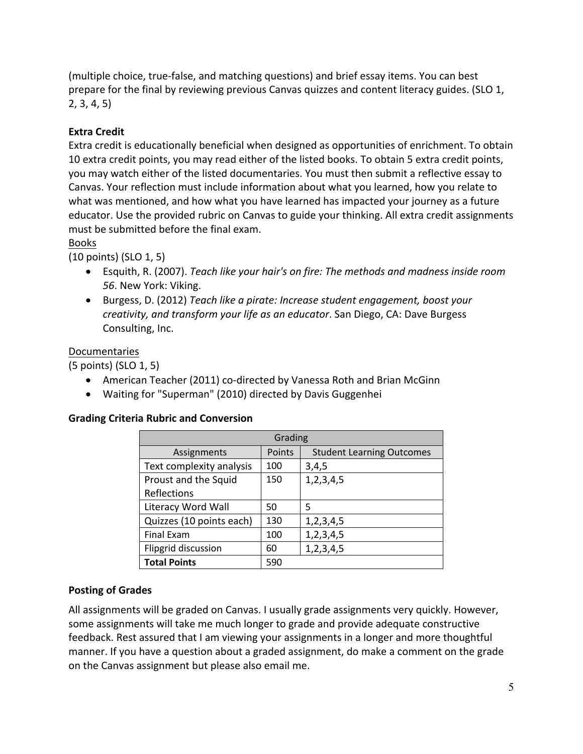(multiple choice, true-false, and matching questions) and brief essay items. You can best prepare for the final by reviewing previous Canvas quizzes and content literacy guides. (SLO 1, 2, 3, 4, 5)

# **Extra Credit**

Extra credit is educationally beneficial when designed as opportunities of enrichment. To obtain 10 extra credit points, you may read either of the listed books. To obtain 5 extra credit points, you may watch either of the listed documentaries. You must then submit a reflective essay to Canvas. Your reflection must include information about what you learned, how you relate to what was mentioned, and how what you have learned has impacted your journey as a future educator. Use the provided rubric on Canvas to guide your thinking. All extra credit assignments must be submitted before the final exam.

## Books

(10 points) (SLO 1, 5)

- Esquith, R. (2007). *Teach like your hair's on fire: The methods and madness inside room 56*. New York: Viking.
- Burgess, D. (2012) *Teach like a pirate: Increase student engagement, boost your creativity, and transform your life as an educator*. San Diego, CA: Dave Burgess Consulting, Inc.

# Documentaries

(5 points) (SLO 1, 5)

- American Teacher (2011) co-directed by Vanessa Roth and Brian McGinn
- Waiting for "Superman" (2010) directed by Davis Guggenhei

## **Grading Criteria Rubric and Conversion**

| Grading                  |        |                                  |  |  |  |  |  |  |
|--------------------------|--------|----------------------------------|--|--|--|--|--|--|
| Assignments              | Points | <b>Student Learning Outcomes</b> |  |  |  |  |  |  |
| Text complexity analysis | 100    | 3,4,5                            |  |  |  |  |  |  |
| Proust and the Squid     | 150    | 1, 2, 3, 4, 5                    |  |  |  |  |  |  |
| Reflections              |        |                                  |  |  |  |  |  |  |
| Literacy Word Wall       | 50     | 5                                |  |  |  |  |  |  |
| Quizzes (10 points each) | 130    | 1, 2, 3, 4, 5                    |  |  |  |  |  |  |
| <b>Final Exam</b>        | 100    | 1, 2, 3, 4, 5                    |  |  |  |  |  |  |
| Flipgrid discussion      | 60     | 1, 2, 3, 4, 5                    |  |  |  |  |  |  |
| <b>Total Points</b>      | 590    |                                  |  |  |  |  |  |  |

## **Posting of Grades**

All assignments will be graded on Canvas. I usually grade assignments very quickly. However, some assignments will take me much longer to grade and provide adequate constructive feedback. Rest assured that I am viewing your assignments in a longer and more thoughtful manner. If you have a question about a graded assignment, do make a comment on the grade on the Canvas assignment but please also email me.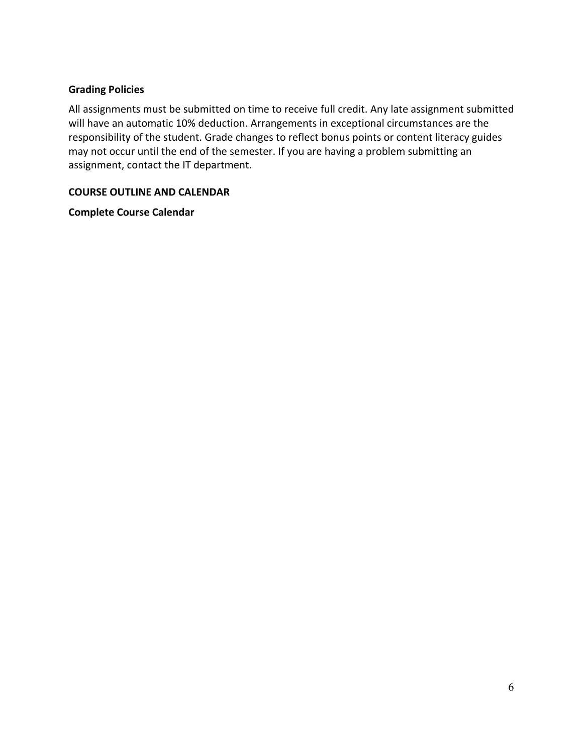#### **Grading Policies**

All assignments must be submitted on time to receive full credit. Any late assignment submitted will have an automatic 10% deduction. Arrangements in exceptional circumstances are the responsibility of the student. Grade changes to reflect bonus points or content literacy guides may not occur until the end of the semester. If you are having a problem submitting an assignment, contact the IT department.

#### **COURSE OUTLINE AND CALENDAR**

**Complete Course Calendar**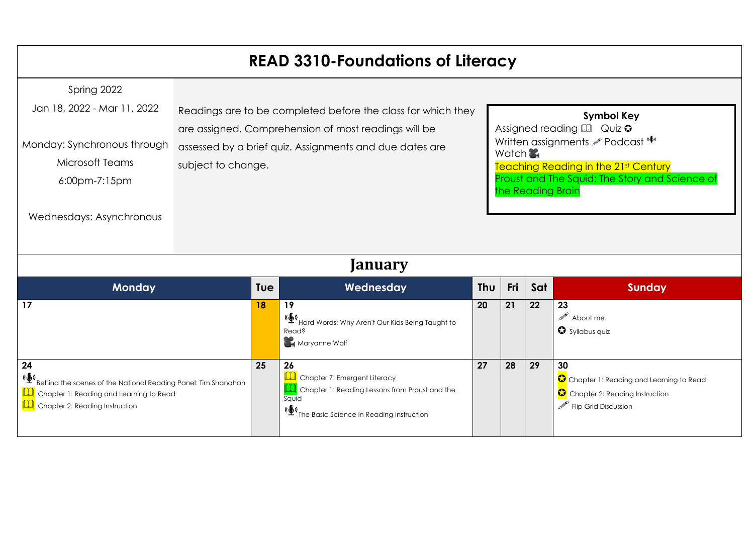# **READ 3310-Foundations of Literacy**

| Spring 2022<br>Jan 18, 2022 - Mar 11, 2022<br>Monday: Synchronous through<br>Microsoft Teams<br>6:00pm-7:15pm<br>Wednesdays: Asynchronous | subject to change. | Readings are to be completed before the class for which they<br>are assigned. Comprehension of most readings will be<br>assessed by a brief quiz. Assignments and due dates are |     |     | Watch<br>the Reading Brain | <b>Symbol Key</b><br>Assigned reading $\square$ Quiz $\circ$<br>Written assignments <b><i>P</i></b> Podcast (1)<br>Teaching Reading in the 21st Century<br>Proust and The Squid: The Story and Science of |  |
|-------------------------------------------------------------------------------------------------------------------------------------------|--------------------|---------------------------------------------------------------------------------------------------------------------------------------------------------------------------------|-----|-----|----------------------------|-----------------------------------------------------------------------------------------------------------------------------------------------------------------------------------------------------------|--|
| January                                                                                                                                   |                    |                                                                                                                                                                                 |     |     |                            |                                                                                                                                                                                                           |  |
| <b>Monday</b>                                                                                                                             | Tue                | Wednesday                                                                                                                                                                       | Thu | Fri | Sat                        | <b>Sunday</b>                                                                                                                                                                                             |  |
| 17                                                                                                                                        | 18                 | 19<br>(( $\bigoplus_{i=1}^{\infty}$ )<br>Hard Words: Why Aren't Our Kids Being Taught to<br><b>Read?</b>                                                                        | 20  | 21  | 22                         | 23<br>$\mathscr{P}$ About me<br>Syllabus quiz                                                                                                                                                             |  |

**Maryanne Wolf** 

**Q** Chapter 7: Emergent Literacy

**Q** Chapter 1: Reading Lessons from Proust and the

**27 28 29 30**

Chapter 1: Reading and Learning to Read

Chapter 2: Reading Instruction

 $\mathscr{P}$  Flip Grid Discussion

(C)<br>[T](https://podcasts.apple.com/us/podcast/s1-26-a-conversation-with-daniel-willingham/id1483513974?i=1000486487855)he Basic Science in Reading Instruction

**25 26**

Squid

**24**

(C)<br>[B](https://podcasts.apple.com/us/podcast/s2-08-behind-scenes-national-reading-panel-tim-shanahan/id1483513974?i=1000502589508)ehind the scenes of the National Reading Panel: Tim Shanahan

**Q** Chapter 1: Reading and Learning to Read

**Q** Chapter 2: Reading Instruction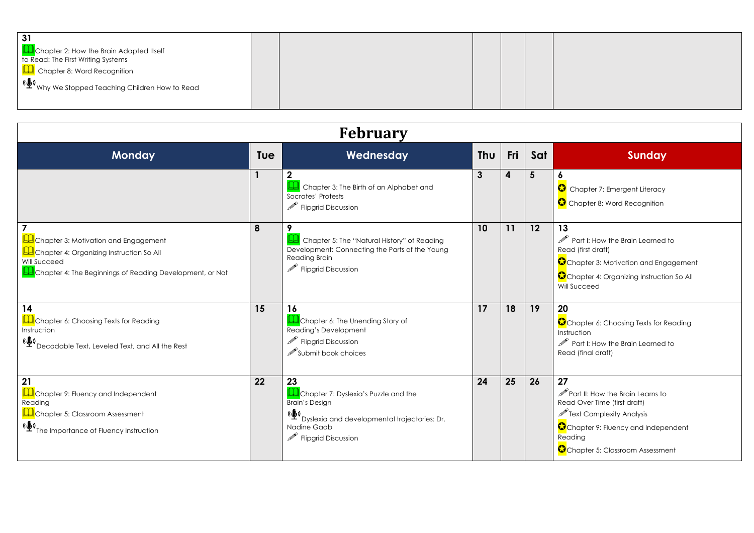| Chapter 2: How the Brain Adapted Itself<br>to Read: The First Writing Systems<br>Chapter 8: Word Recognition<br>, $(\bigoplus_{i=1}^N N_i)$ We Stopped Teaching Children How to Read |  |  |  |
|--------------------------------------------------------------------------------------------------------------------------------------------------------------------------------------|--|--|--|
|--------------------------------------------------------------------------------------------------------------------------------------------------------------------------------------|--|--|--|

| <b>February</b>                                                                                                                                              |            |                                                                                                                                                                                          |     |     |     |                                                                                                                                                                                                                    |
|--------------------------------------------------------------------------------------------------------------------------------------------------------------|------------|------------------------------------------------------------------------------------------------------------------------------------------------------------------------------------------|-----|-----|-----|--------------------------------------------------------------------------------------------------------------------------------------------------------------------------------------------------------------------|
| <b>Monday</b>                                                                                                                                                | <b>Tue</b> | Wednesday                                                                                                                                                                                | Thu | Fri | Sat | <b>Sunday</b>                                                                                                                                                                                                      |
|                                                                                                                                                              |            | Chapter 3: The Birth of an Alphabet and<br>Socrates' Protests<br>$\mathscr{P}$ Flipgrid Discussion                                                                                       | 3   | 4   | 5   | Chapter 7: Emergent Literacy<br>Chapter 8: Word Recognition                                                                                                                                                        |
| Chapter 3: Motivation and Engagement<br>Chapter 4: Organizing Instruction So All<br>Will Succeed<br>Chapter 4: The Beginnings of Reading Development, or Not | 8          | 9<br>Chapter 5: The "Natural History" of Reading<br>Development: Connecting the Parts of the Young<br>Reading Brain<br>$\mathscr{P}$ Flipgrid Discussion                                 | 10  | 11  | 12  | 13<br>$\mathscr P$ Part I: How the Brain Learned to<br>Read (first draft)<br>Chapter 3: Motivation and Engagement<br>Chapter 4: Organizing Instruction So All<br>Will Succeed                                      |
| 14<br>Chapter 6: Choosing Texts for Reading<br>Instruction<br>(し)<br>Decodable Text, Leveled Text, and All the Rest                                          | 15         | 16<br>Chapter 6: The Unending Story of<br>Reading's Development<br>$\mathscr{P}$ Flipgrid Discussion<br>Submit book choices                                                              | 17  | 18  | 19  | 20<br>Chapter 6: Choosing Texts for Reading<br>Instruction<br>$\mathscr{P}$ Part I: How the Brain Learned to<br>Read (final draft)                                                                                 |
| 21<br>Chapter 9: Fluency and Independent<br>Reading<br>Chapter 5: Classroom Assessment<br>(( <i>Le</i> ) The Importance of Fluency Instruction               | 22         | 23<br>Chapter 7: Dyslexia's Puzzle and the<br><b>Brain's Design</b><br>(( <u>C</u> )<br>Dyslexia and developmental trajectories: Dr.<br>Nadine Gaab<br>$\mathscr{P}$ Flipgrid Discussion | 24  | 25  | 26  | 27<br>$\mathscr{P}$ Part II: How the Brain Learns to<br>Read Over Time (first draft)<br>$\mathscr{P}$ Text Complexity Analysis<br>Chapter 9: Fluency and Independent<br>Reading<br>Chapter 5: Classroom Assessment |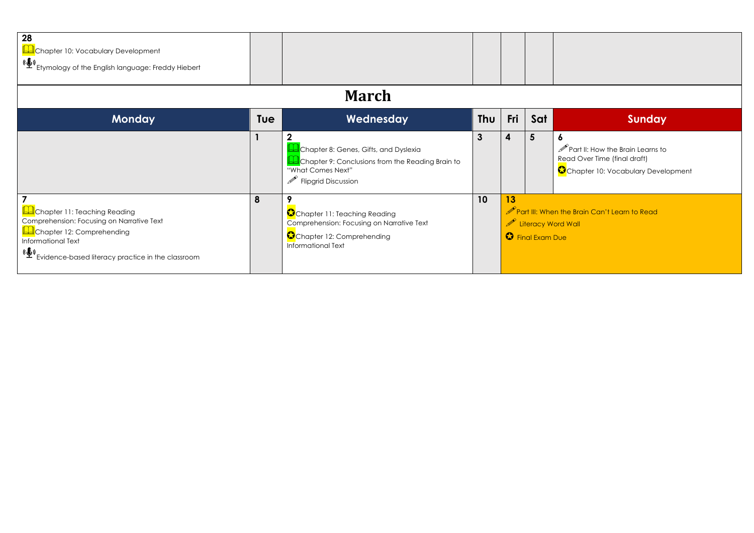| 28<br>Chapter 10: Vocabulary Development<br>(ේ)<br>Etymology of the English language: Freddy Hiebert                                                                                     |     |                                                                                                                                                     |     |                                                                                                                   |     |                                                                                                                      |  |
|------------------------------------------------------------------------------------------------------------------------------------------------------------------------------------------|-----|-----------------------------------------------------------------------------------------------------------------------------------------------------|-----|-------------------------------------------------------------------------------------------------------------------|-----|----------------------------------------------------------------------------------------------------------------------|--|
| <b>March</b>                                                                                                                                                                             |     |                                                                                                                                                     |     |                                                                                                                   |     |                                                                                                                      |  |
| <b>Monday</b>                                                                                                                                                                            | Tue | Wednesday                                                                                                                                           | Thu | Fri                                                                                                               | Sat | <b>Sunday</b>                                                                                                        |  |
|                                                                                                                                                                                          |     | Chapter 8: Genes, Gifts, and Dyslexia<br>Chapter 9: Conclusions from the Reading Brain to<br>"What Comes Next"<br>$\mathscr{P}$ Flipgrid Discussion | 3   | 4                                                                                                                 | 5   | $\mathscr{P}$ Part II: How the Brain Learns to<br>Read Over Time (final draft)<br>Chapter 10: Vocabulary Development |  |
| Chapter 11: Teaching Reading<br>Comprehension: Focusing on Narrative Text<br>Chapter 12: Comprehending<br>Informational Text<br>(鬘)<br>Evidence-based literacy practice in the classroom | 8   | Chapter 11: Teaching Reading<br>Comprehension: Focusing on Narrative Text<br>Chapter 12: Comprehending<br>Informational Text                        | 10  | 13<br>$\mathscr{P}$ Part III: When the Brain Can't Learn to Read<br>Literacy Word Wall<br><b>O</b> Final Exam Due |     |                                                                                                                      |  |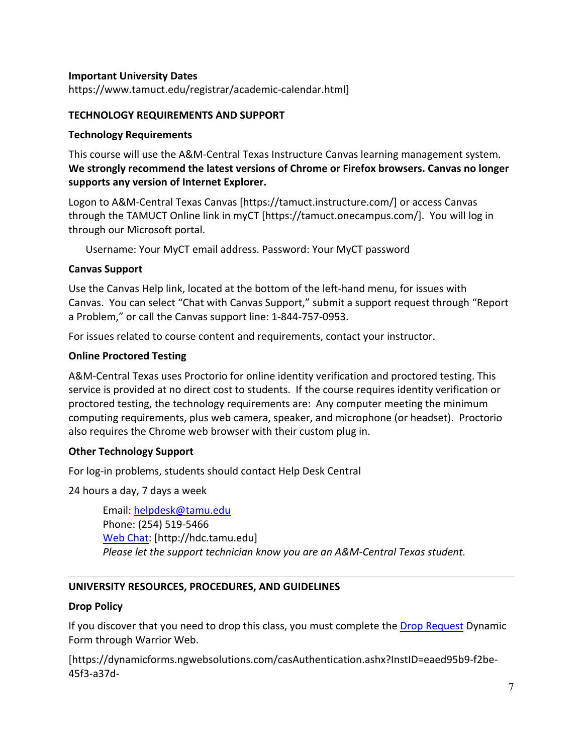#### **Important University Dates**

https://www.tamuct.edu/registrar/academic-calendar.html]

#### **TECHNOLOGY REQUIREMENTS AND SUPPORT**

#### **Technology Requirements**

This course will use the A&M-Central Texas Instructure Canvas learning management system. **We strongly recommend the latest versions of Chrome or Firefox browsers. Canvas no longer supports any version of Internet Explorer.**

Logon to A&M-Central Texas Canvas [https://tamuct.instructure.com/] or access Canvas through the TAMUCT Online link in myCT [https://tamuct.onecampus.com/]. You will log in through our Microsoft portal.

Username: Your MyCT email address. Password: Your MyCT password

### **Canvas Support**

Use the Canvas Help link, located at the bottom of the left-hand menu, for issues with Canvas. You can select "Chat with Canvas Support," submit a support request through "Report a Problem," or call the Canvas support line: 1-844-757-0953.

For issues related to course content and requirements, contact your instructor.

### **Online Proctored Testing**

A&M-Central Texas uses Proctorio for online identity verification and proctored testing. This service is provided at no direct cost to students. If the course requires identity verification or proctored testing, the technology requirements are: Any computer meeting the minimum computing requirements, plus web camera, speaker, and microphone (or headset). Proctorio also requires the Chrome web browser with their custom plug in.

#### **Other Technology Support**

For log-in problems, students should contact Help Desk Central

24 hours a day, 7 days a week

Email: helpdesk@tamu.edu Phone: (254) 519-5466 Web Chat: [http://hdc.tamu.edu] *Please let the support technician know you are an A&M-Central Texas student.*

## **UNIVERSITY RESOURCES, PROCEDURES, AND GUIDELINES**

#### **Drop Policy**

If you discover that you need to drop this class, you must complete the Drop Request Dynamic Form through Warrior Web.

[https://dynamicforms.ngwebsolutions.com/casAuthentication.ashx?InstID=eaed95b9-f2be-45f3-a37d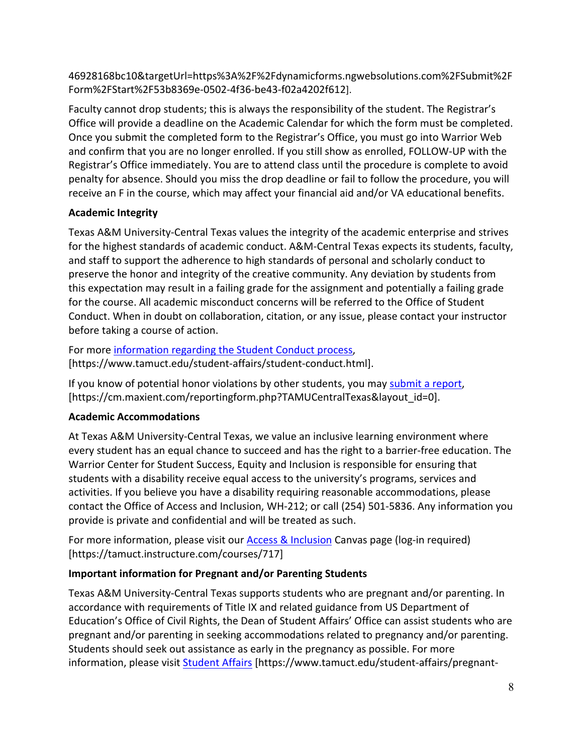46928168bc10&targetUrl=https%3A%2F%2Fdynamicforms.ngwebsolutions.com%2FSubmit%2F Form%2FStart%2F53b8369e-0502-4f36-be43-f02a4202f612].

Faculty cannot drop students; this is always the responsibility of the student. The Registrar's Office will provide a deadline on the Academic Calendar for which the form must be completed. Once you submit the completed form to the Registrar's Office, you must go into Warrior Web and confirm that you are no longer enrolled. If you still show as enrolled, FOLLOW-UP with the Registrar's Office immediately. You are to attend class until the procedure is complete to avoid penalty for absence. Should you miss the drop deadline or fail to follow the procedure, you will receive an F in the course, which may affect your financial aid and/or VA educational benefits.

# **Academic Integrity**

Texas A&M University-Central Texas values the integrity of the academic enterprise and strives for the highest standards of academic conduct. A&M-Central Texas expects its students, faculty, and staff to support the adherence to high standards of personal and scholarly conduct to preserve the honor and integrity of the creative community. Any deviation by students from this expectation may result in a failing grade for the assignment and potentially a failing grade for the course. All academic misconduct concerns will be referred to the Office of Student Conduct. When in doubt on collaboration, citation, or any issue, please contact your instructor before taking a course of action.

For more information regarding the Student Conduct process, [https://www.tamuct.edu/student-affairs/student-conduct.html].

If you know of potential honor violations by other students, you may submit a report, [https://cm.maxient.com/reportingform.php?TAMUCentralTexas&layout\_id=0].

# **Academic Accommodations**

At Texas A&M University-Central Texas, we value an inclusive learning environment where every student has an equal chance to succeed and has the right to a barrier-free education. The Warrior Center for Student Success, Equity and Inclusion is responsible for ensuring that students with a disability receive equal access to the university's programs, services and activities. If you believe you have a disability requiring reasonable accommodations, please contact the Office of Access and Inclusion, WH-212; or call (254) 501-5836. Any information you provide is private and confidential and will be treated as such.

For more information, please visit our Access & Inclusion Canvas page (log-in required) [https://tamuct.instructure.com/courses/717]

# **Important information for Pregnant and/or Parenting Students**

Texas A&M University-Central Texas supports students who are pregnant and/or parenting. In accordance with requirements of Title IX and related guidance from US Department of Education's Office of Civil Rights, the Dean of Student Affairs' Office can assist students who are pregnant and/or parenting in seeking accommodations related to pregnancy and/or parenting. Students should seek out assistance as early in the pregnancy as possible. For more information, please visit Student Affairs [https://www.tamuct.edu/student-affairs/pregnant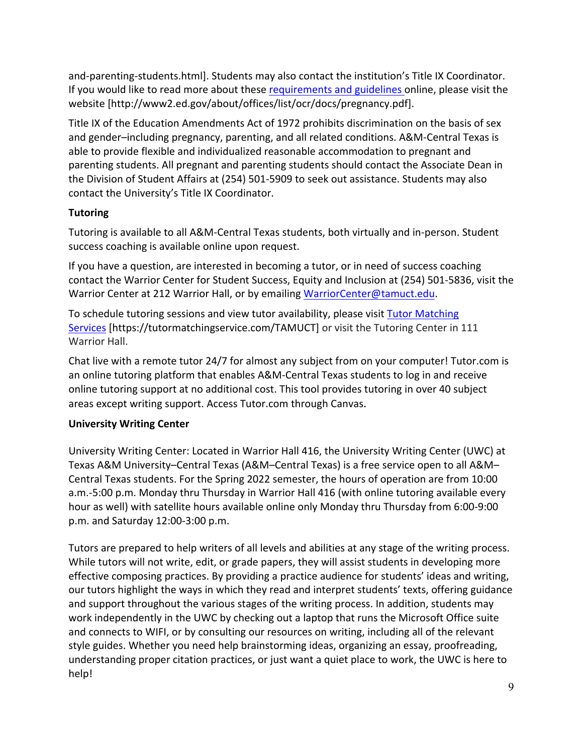and-parenting-students.html]. Students may also contact the institution's Title IX Coordinator. If you would like to read more about these requirements and guidelines online, please visit the website [http://www2.ed.gov/about/offices/list/ocr/docs/pregnancy.pdf].

Title IX of the Education Amendments Act of 1972 prohibits discrimination on the basis of sex and gender–including pregnancy, parenting, and all related conditions. A&M-Central Texas is able to provide flexible and individualized reasonable accommodation to pregnant and parenting students. All pregnant and parenting students should contact the Associate Dean in the Division of Student Affairs at (254) 501-5909 to seek out assistance. Students may also contact the University's Title IX Coordinator.

# **Tutoring**

Tutoring is available to all A&M-Central Texas students, both virtually and in-person. Student success coaching is available online upon request.

If you have a question, are interested in becoming a tutor, or in need of success coaching contact the Warrior Center for Student Success, Equity and Inclusion at (254) 501-5836, visit the Warrior Center at 212 Warrior Hall, or by emailing WarriorCenter@tamuct.edu.

To schedule tutoring sessions and view tutor availability, please visit Tutor Matching Services [https://tutormatchingservice.com/TAMUCT] or visit the Tutoring Center in 111 Warrior Hall.

Chat live with a remote tutor 24/7 for almost any subject from on your computer! Tutor.com is an online tutoring platform that enables A&M-Central Texas students to log in and receive online tutoring support at no additional cost. This tool provides tutoring in over 40 subject areas except writing support. Access Tutor.com through Canvas.

## **University Writing Center**

University Writing Center: Located in Warrior Hall 416, the University Writing Center (UWC) at Texas A&M University–Central Texas (A&M–Central Texas) is a free service open to all A&M– Central Texas students. For the Spring 2022 semester, the hours of operation are from 10:00 a.m.-5:00 p.m. Monday thru Thursday in Warrior Hall 416 (with online tutoring available every hour as well) with satellite hours available online only Monday thru Thursday from 6:00-9:00 p.m. and Saturday 12:00-3:00 p.m.

Tutors are prepared to help writers of all levels and abilities at any stage of the writing process. While tutors will not write, edit, or grade papers, they will assist students in developing more effective composing practices. By providing a practice audience for students' ideas and writing, our tutors highlight the ways in which they read and interpret students' texts, offering guidance and support throughout the various stages of the writing process. In addition, students may work independently in the UWC by checking out a laptop that runs the Microsoft Office suite and connects to WIFI, or by consulting our resources on writing, including all of the relevant style guides. Whether you need help brainstorming ideas, organizing an essay, proofreading, understanding proper citation practices, or just want a quiet place to work, the UWC is here to help!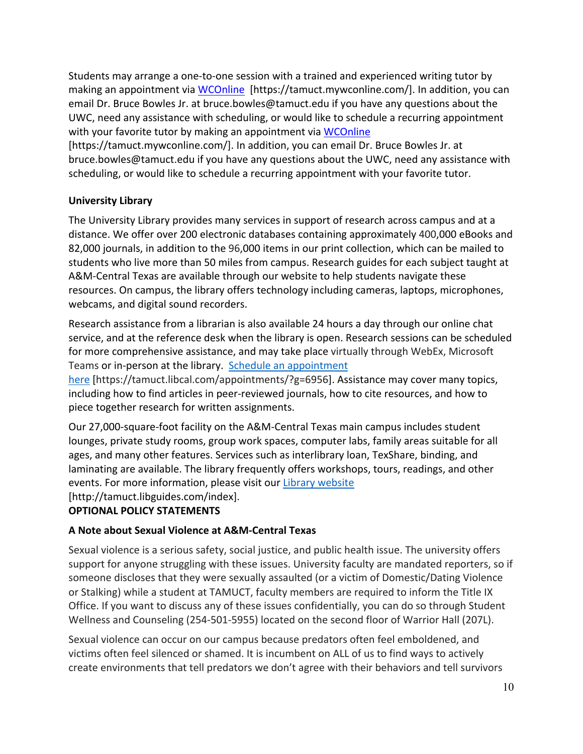Students may arrange a one-to-one session with a trained and experienced writing tutor by making an appointment via WCOnline [https://tamuct.mywconline.com/]. In addition, you can email Dr. Bruce Bowles Jr. at bruce.bowles@tamuct.edu if you have any questions about the UWC, need any assistance with scheduling, or would like to schedule a recurring appointment with your favorite tutor by making an appointment via WCOnline

[https://tamuct.mywconline.com/]. In addition, you can email Dr. Bruce Bowles Jr. at bruce.bowles@tamuct.edu if you have any questions about the UWC, need any assistance with scheduling, or would like to schedule a recurring appointment with your favorite tutor.

# **University Library**

The University Library provides many services in support of research across campus and at a distance. We offer over 200 electronic databases containing approximately 400,000 eBooks and 82,000 journals, in addition to the 96,000 items in our print collection, which can be mailed to students who live more than 50 miles from campus. Research guides for each subject taught at A&M-Central Texas are available through our website to help students navigate these resources. On campus, the library offers technology including cameras, laptops, microphones, webcams, and digital sound recorders.

Research assistance from a librarian is also available 24 hours a day through our online chat service, and at the reference desk when the library is open. Research sessions can be scheduled for more comprehensive assistance, and may take place virtually through WebEx, Microsoft Teams or in-person at the library. Schedule an appointment

here [https://tamuct.libcal.com/appointments/?g=6956]. Assistance may cover many topics, including how to find articles in peer-reviewed journals, how to cite resources, and how to piece together research for written assignments.

Our 27,000-square-foot facility on the A&M-Central Texas main campus includes student lounges, private study rooms, group work spaces, computer labs, family areas suitable for all ages, and many other features. Services such as interlibrary loan, TexShare, binding, and laminating are available. The library frequently offers workshops, tours, readings, and other events. For more information, please visit our Library website

[http://tamuct.libguides.com/index].

# **OPTIONAL POLICY STATEMENTS**

## **A Note about Sexual Violence at A&M-Central Texas**

Sexual violence is a serious safety, social justice, and public health issue. The university offers support for anyone struggling with these issues. University faculty are mandated reporters, so if someone discloses that they were sexually assaulted (or a victim of Domestic/Dating Violence or Stalking) while a student at TAMUCT, faculty members are required to inform the Title IX Office. If you want to discuss any of these issues confidentially, you can do so through Student Wellness and Counseling (254-501-5955) located on the second floor of Warrior Hall (207L).

Sexual violence can occur on our campus because predators often feel emboldened, and victims often feel silenced or shamed. It is incumbent on ALL of us to find ways to actively create environments that tell predators we don't agree with their behaviors and tell survivors